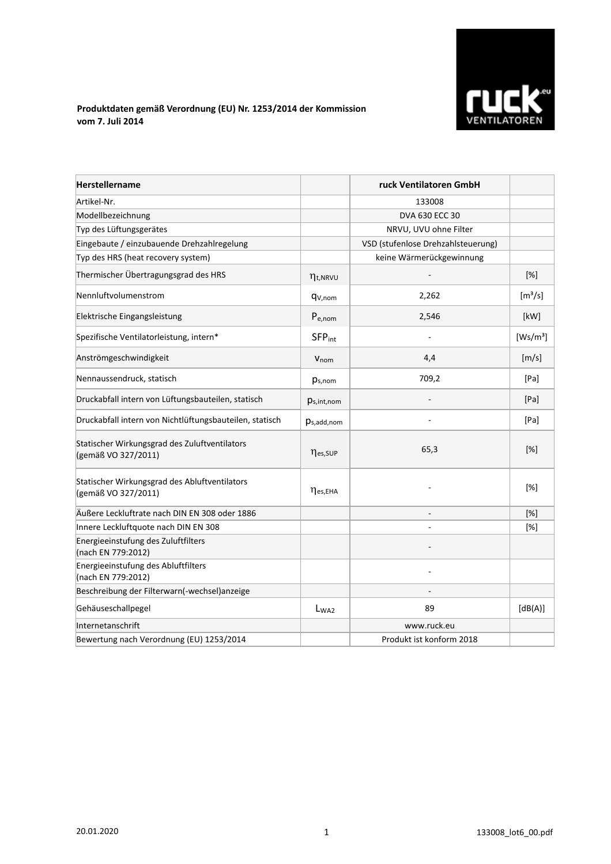

## **Produktdaten gemäß Verordnung (EU) Nr. 1253/2014 der Kommission vom 7. Juli 2014**

| <b>Herstellername</b>                                                |                           | ruck Ventilatoren GmbH             |                              |
|----------------------------------------------------------------------|---------------------------|------------------------------------|------------------------------|
| Artikel-Nr.                                                          |                           | 133008                             |                              |
| Modellbezeichnung                                                    |                           | DVA 630 ECC 30                     |                              |
| Typ des Lüftungsgerätes                                              |                           | NRVU, UVU ohne Filter              |                              |
| Eingebaute / einzubauende Drehzahlregelung                           |                           | VSD (stufenlose Drehzahlsteuerung) |                              |
| Typ des HRS (heat recovery system)                                   |                           | keine Wärmerückgewinnung           |                              |
| Thermischer Übertragungsgrad des HRS                                 | $\eta_{t, NRVU}$          |                                    | $[\%]$                       |
| Nennluftvolumenstrom                                                 | q <sub>V,nom</sub>        | 2,262                              | $\left[\frac{m^3}{s}\right]$ |
| Elektrische Eingangsleistung                                         | $P_{e,nom}$               | 2,546                              | [kW]                         |
| Spezifische Ventilatorleistung, intern*                              | <b>SFP</b> <sub>int</sub> |                                    | [Ws/m <sup>3</sup> ]         |
| Anströmgeschwindigkeit                                               | $V_{nom}$                 | 4,4                                | [m/s]                        |
| Nennaussendruck, statisch                                            | $p_{s,nom}$               | 709,2                              | [Pa]                         |
| Druckabfall intern von Lüftungsbauteilen, statisch                   | $p_{s,int,nom}$           |                                    | [Pa]                         |
| Druckabfall intern von Nichtlüftungsbauteilen, statisch              | $p_{s,add,nom}$           |                                    | [Pa]                         |
| Statischer Wirkungsgrad des Zuluftventilators<br>(gemäß VO 327/2011) | nes, SUP                  | 65,3                               | $[\%]$                       |
| Statischer Wirkungsgrad des Abluftventilators<br>(gemäß VO 327/2011) | $\eta_{es,EHA}$           |                                    | [%]                          |
| Äußere Leckluftrate nach DIN EN 308 oder 1886                        |                           |                                    | [%]                          |
| Innere Leckluftquote nach DIN EN 308                                 |                           |                                    | [%]                          |
| Energieeinstufung des Zuluftfilters<br>(nach EN 779:2012)            |                           |                                    |                              |
| Energieeinstufung des Abluftfilters<br>(nach EN 779:2012)            |                           |                                    |                              |
| Beschreibung der Filterwarn(-wechsel)anzeige                         |                           |                                    |                              |
| Gehäuseschallpegel                                                   | $L_{WA2}$                 | 89                                 | [dB(A)]                      |
| Internetanschrift                                                    |                           | www.ruck.eu                        |                              |
| Bewertung nach Verordnung (EU) 1253/2014                             |                           | Produkt ist konform 2018           |                              |